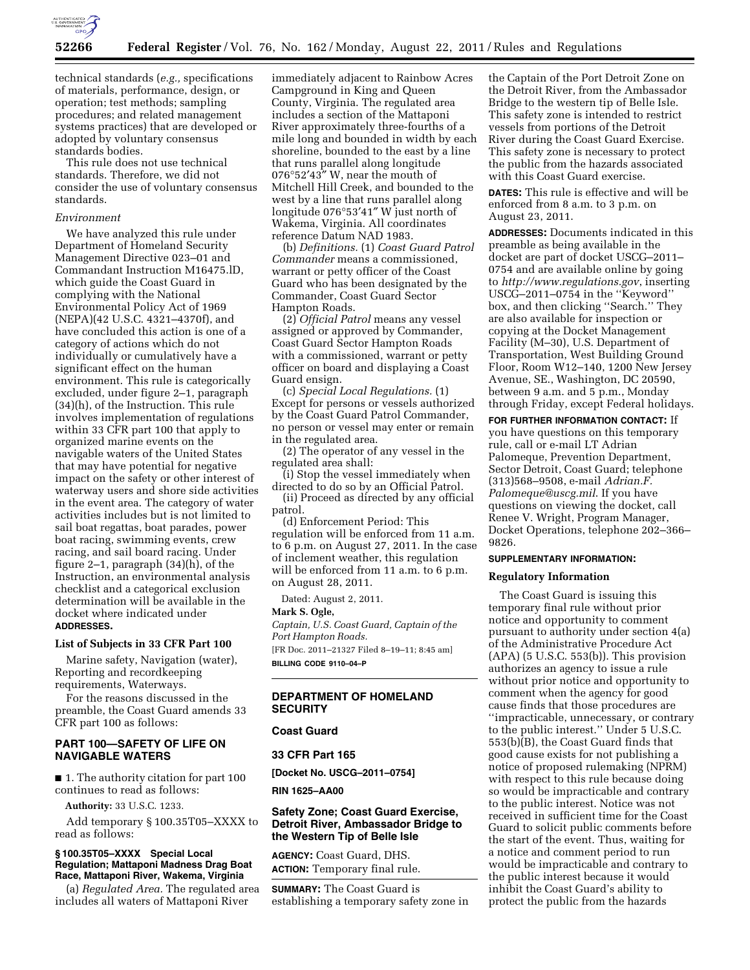

technical standards (*e.g.,* specifications of materials, performance, design, or operation; test methods; sampling procedures; and related management systems practices) that are developed or adopted by voluntary consensus standards bodies.

This rule does not use technical standards. Therefore, we did not consider the use of voluntary consensus standards.

### *Environment*

We have analyzed this rule under Department of Homeland Security Management Directive 023–01 and Commandant Instruction M16475.lD, which guide the Coast Guard in complying with the National Environmental Policy Act of 1969 (NEPA)(42 U.S.C. 4321–4370f), and have concluded this action is one of a category of actions which do not individually or cumulatively have a significant effect on the human environment. This rule is categorically excluded, under figure 2–1, paragraph (34)(h), of the Instruction. This rule involves implementation of regulations within 33 CFR part 100 that apply to organized marine events on the navigable waters of the United States that may have potential for negative impact on the safety or other interest of waterway users and shore side activities in the event area. The category of water activities includes but is not limited to sail boat regattas, boat parades, power boat racing, swimming events, crew racing, and sail board racing. Under figure 2–1, paragraph (34)(h), of the Instruction, an environmental analysis checklist and a categorical exclusion determination will be available in the docket where indicated under **ADDRESSES.** 

## **List of Subjects in 33 CFR Part 100**

Marine safety, Navigation (water), Reporting and recordkeeping requirements, Waterways.

For the reasons discussed in the preamble, the Coast Guard amends 33 CFR part 100 as follows:

# **PART 100—SAFETY OF LIFE ON NAVIGABLE WATERS**

■ 1. The authority citation for part 100 continues to read as follows:

**Authority:** 33 U.S.C. 1233.

Add temporary § 100.35T05–XXXX to read as follows:

### **§ 100.35T05–XXXX Special Local Regulation; Mattaponi Madness Drag Boat Race, Mattaponi River, Wakema, Virginia**

(a) *Regulated Area.* The regulated area includes all waters of Mattaponi River

immediately adjacent to Rainbow Acres Campground in King and Queen County, Virginia. The regulated area includes a section of the Mattaponi River approximately three-fourths of a mile long and bounded in width by each shoreline, bounded to the east by a line that runs parallel along longitude 076°52′43″ W, near the mouth of Mitchell Hill Creek, and bounded to the west by a line that runs parallel along longitude 076°53′41″ W just north of Wakema, Virginia. All coordinates reference Datum NAD 1983.

(b) *Definitions.* (1) *Coast Guard Patrol Commander* means a commissioned, warrant or petty officer of the Coast Guard who has been designated by the Commander, Coast Guard Sector Hampton Roads.

(2) *Official Patrol* means any vessel assigned or approved by Commander, Coast Guard Sector Hampton Roads with a commissioned, warrant or petty officer on board and displaying a Coast Guard ensign.

(c) *Special Local Regulations.* (1) Except for persons or vessels authorized by the Coast Guard Patrol Commander, no person or vessel may enter or remain in the regulated area.

(2) The operator of any vessel in the regulated area shall:

(i) Stop the vessel immediately when

directed to do so by an Official Patrol. (ii) Proceed as directed by any official patrol.

(d) Enforcement Period: This regulation will be enforced from 11 a.m. to 6 p.m. on August 27, 2011. In the case of inclement weather, this regulation will be enforced from 11 a.m. to 6 p.m. on August 28, 2011.

Dated: August 2, 2011.

**Mark S. Ogle,** 

*Captain, U.S. Coast Guard, Captain of the Port Hampton Roads.* 

[FR Doc. 2011–21327 Filed 8–19–11; 8:45 am] **BILLING CODE 9110–04–P** 

## **DEPARTMENT OF HOMELAND SECURITY**

# **Coast Guard**

#### **33 CFR Part 165**

**[Docket No. USCG–2011–0754]** 

**RIN 1625–AA00** 

### **Safety Zone; Coast Guard Exercise, Detroit River, Ambassador Bridge to the Western Tip of Belle Isle**

**AGENCY:** Coast Guard, DHS. **ACTION:** Temporary final rule.

**SUMMARY:** The Coast Guard is establishing a temporary safety zone in

the Captain of the Port Detroit Zone on the Detroit River, from the Ambassador Bridge to the western tip of Belle Isle. This safety zone is intended to restrict vessels from portions of the Detroit River during the Coast Guard Exercise. This safety zone is necessary to protect the public from the hazards associated with this Coast Guard exercise.

**DATES:** This rule is effective and will be enforced from 8 a.m. to 3 p.m. on August 23, 2011.

**ADDRESSES:** Documents indicated in this preamble as being available in the docket are part of docket USCG–2011– 0754 and are available online by going to *<http://www.regulations.gov>*, inserting USCG–2011–0754 in the ''Keyword'' box, and then clicking ''Search.'' They are also available for inspection or copying at the Docket Management Facility (M–30), U.S. Department of Transportation, West Building Ground Floor, Room W12–140, 1200 New Jersey Avenue, SE., Washington, DC 20590, between 9 a.m. and 5 p.m., Monday through Friday, except Federal holidays.

**FOR FURTHER INFORMATION CONTACT:** If you have questions on this temporary rule, call or e-mail LT Adrian Palomeque, Prevention Department, Sector Detroit, Coast Guard; telephone (313)568–9508, e-mail *Adrian.F. Palomeque@uscg.mil*. If you have questions on viewing the docket, call Renee V. Wright, Program Manager, Docket Operations, telephone 202–366– 9826.

# **SUPPLEMENTARY INFORMATION:**

### **Regulatory Information**

The Coast Guard is issuing this temporary final rule without prior notice and opportunity to comment pursuant to authority under section 4(a) of the Administrative Procedure Act  $(APA)$  (5 U.S.C. 553(b)). This provision authorizes an agency to issue a rule without prior notice and opportunity to comment when the agency for good cause finds that those procedures are ''impracticable, unnecessary, or contrary to the public interest.'' Under 5 U.S.C. 553(b)(B), the Coast Guard finds that good cause exists for not publishing a notice of proposed rulemaking (NPRM) with respect to this rule because doing so would be impracticable and contrary to the public interest. Notice was not received in sufficient time for the Coast Guard to solicit public comments before the start of the event. Thus, waiting for a notice and comment period to run would be impracticable and contrary to the public interest because it would inhibit the Coast Guard's ability to protect the public from the hazards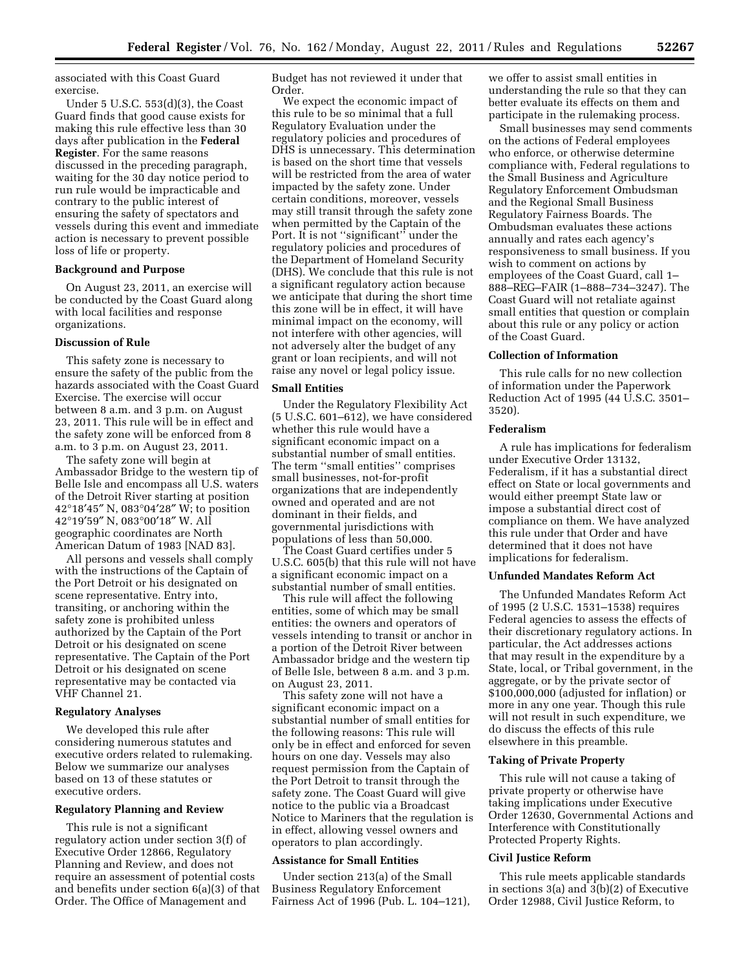associated with this Coast Guard exercise.

Under 5 U.S.C. 553(d)(3), the Coast Guard finds that good cause exists for making this rule effective less than 30 days after publication in the **Federal Register**. For the same reasons discussed in the preceding paragraph, waiting for the 30 day notice period to run rule would be impracticable and contrary to the public interest of ensuring the safety of spectators and vessels during this event and immediate action is necessary to prevent possible loss of life or property.

### **Background and Purpose**

On August 23, 2011, an exercise will be conducted by the Coast Guard along with local facilities and response organizations.

### **Discussion of Rule**

This safety zone is necessary to ensure the safety of the public from the hazards associated with the Coast Guard Exercise. The exercise will occur between 8 a.m. and 3 p.m. on August 23, 2011. This rule will be in effect and the safety zone will be enforced from 8 a.m. to 3 p.m. on August 23, 2011.

The safety zone will begin at Ambassador Bridge to the western tip of Belle Isle and encompass all U.S. waters of the Detroit River starting at position 42°18′45″ N, 083°04′28″ W; to position 42°19′59″ N, 083°00′18″ W. All geographic coordinates are North American Datum of 1983 [NAD 83].

All persons and vessels shall comply with the instructions of the Captain of the Port Detroit or his designated on scene representative. Entry into, transiting, or anchoring within the safety zone is prohibited unless authorized by the Captain of the Port Detroit or his designated on scene representative. The Captain of the Port Detroit or his designated on scene representative may be contacted via VHF Channel 21.

### **Regulatory Analyses**

We developed this rule after considering numerous statutes and executive orders related to rulemaking. Below we summarize our analyses based on 13 of these statutes or executive orders.

#### **Regulatory Planning and Review**

This rule is not a significant regulatory action under section 3(f) of Executive Order 12866, Regulatory Planning and Review, and does not require an assessment of potential costs and benefits under section 6(a)(3) of that Order. The Office of Management and

Budget has not reviewed it under that Order.

We expect the economic impact of this rule to be so minimal that a full Regulatory Evaluation under the regulatory policies and procedures of DHS is unnecessary. This determination is based on the short time that vessels will be restricted from the area of water impacted by the safety zone. Under certain conditions, moreover, vessels may still transit through the safety zone when permitted by the Captain of the Port. It is not ''significant'' under the regulatory policies and procedures of the Department of Homeland Security (DHS). We conclude that this rule is not a significant regulatory action because we anticipate that during the short time this zone will be in effect, it will have minimal impact on the economy, will not interfere with other agencies, will not adversely alter the budget of any grant or loan recipients, and will not raise any novel or legal policy issue.

#### **Small Entities**

Under the Regulatory Flexibility Act (5 U.S.C. 601–612), we have considered whether this rule would have a significant economic impact on a substantial number of small entities. The term ''small entities'' comprises small businesses, not-for-profit organizations that are independently owned and operated and are not dominant in their fields, and governmental jurisdictions with populations of less than 50,000.

The Coast Guard certifies under 5 U.S.C. 605(b) that this rule will not have a significant economic impact on a substantial number of small entities.

This rule will affect the following entities, some of which may be small entities: the owners and operators of vessels intending to transit or anchor in a portion of the Detroit River between Ambassador bridge and the western tip of Belle Isle, between 8 a.m. and 3 p.m. on August 23, 2011.

This safety zone will not have a significant economic impact on a substantial number of small entities for the following reasons: This rule will only be in effect and enforced for seven hours on one day. Vessels may also request permission from the Captain of the Port Detroit to transit through the safety zone. The Coast Guard will give notice to the public via a Broadcast Notice to Mariners that the regulation is in effect, allowing vessel owners and operators to plan accordingly.

#### **Assistance for Small Entities**

Under section 213(a) of the Small Business Regulatory Enforcement Fairness Act of 1996 (Pub. L. 104–121),

we offer to assist small entities in understanding the rule so that they can better evaluate its effects on them and participate in the rulemaking process.

Small businesses may send comments on the actions of Federal employees who enforce, or otherwise determine compliance with, Federal regulations to the Small Business and Agriculture Regulatory Enforcement Ombudsman and the Regional Small Business Regulatory Fairness Boards. The Ombudsman evaluates these actions annually and rates each agency's responsiveness to small business. If you wish to comment on actions by employees of the Coast Guard, call 1– 888–REG–FAIR (1–888–734–3247). The Coast Guard will not retaliate against small entities that question or complain about this rule or any policy or action of the Coast Guard.

## **Collection of Information**

This rule calls for no new collection of information under the Paperwork Reduction Act of 1995 (44 U.S.C. 3501– 3520).

### **Federalism**

A rule has implications for federalism under Executive Order 13132, Federalism, if it has a substantial direct effect on State or local governments and would either preempt State law or impose a substantial direct cost of compliance on them. We have analyzed this rule under that Order and have determined that it does not have implications for federalism.

### **Unfunded Mandates Reform Act**

The Unfunded Mandates Reform Act of 1995 (2 U.S.C. 1531–1538) requires Federal agencies to assess the effects of their discretionary regulatory actions. In particular, the Act addresses actions that may result in the expenditure by a State, local, or Tribal government, in the aggregate, or by the private sector of \$100,000,000 (adjusted for inflation) or more in any one year. Though this rule will not result in such expenditure, we do discuss the effects of this rule elsewhere in this preamble.

#### **Taking of Private Property**

This rule will not cause a taking of private property or otherwise have taking implications under Executive Order 12630, Governmental Actions and Interference with Constitutionally Protected Property Rights.

#### **Civil Justice Reform**

This rule meets applicable standards in sections 3(a) and 3(b)(2) of Executive Order 12988, Civil Justice Reform, to